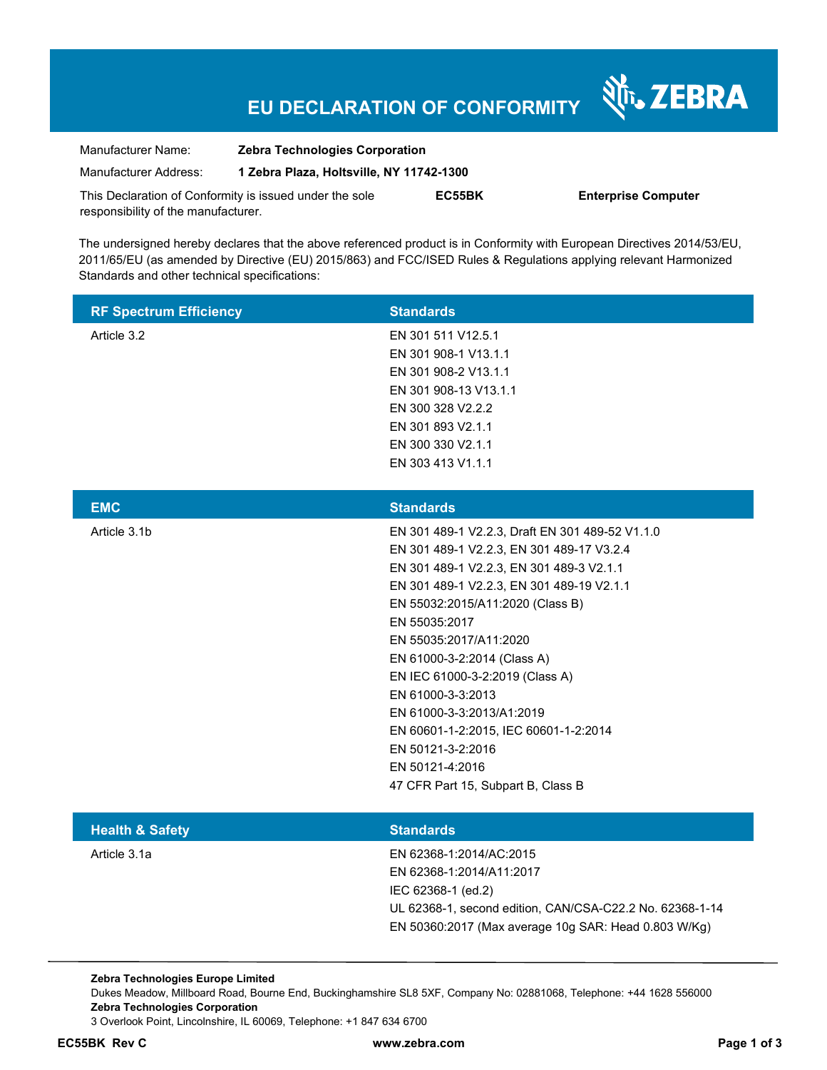# **EU DECLARATION OF CONFORMITY**

Nr. ZEBRA

| Manufacturer Name:                                      | <b>Zebra Technologies Corporation</b>    |        |                            |
|---------------------------------------------------------|------------------------------------------|--------|----------------------------|
| Manufacturer Address:                                   | 1 Zebra Plaza, Holtsville, NY 11742-1300 |        |                            |
| This Declaration of Conformity is issued under the sole |                                          | EC55BK | <b>Enterprise Computer</b> |
| responsibility of the manufacturer.                     |                                          |        |                            |

The undersigned hereby declares that the above referenced product is in Conformity with European Directives 2014/53/EU, 2011/65/EU (as amended by Directive (EU) 2015/863) and FCC/ISED Rules & Regulations applying relevant Harmonized Standards and other technical specifications:

| <b>RF Spectrum Efficiency</b> | <b>Standards</b>      |
|-------------------------------|-----------------------|
| Article 3.2                   | EN 301 511 V12.5.1    |
|                               | EN 301 908-1 V13.1.1  |
|                               | EN 301 908-2 V13.1.1  |
|                               | EN 301 908-13 V13.1.1 |
|                               | EN 300 328 V2.2.2     |
|                               | EN 301 893 V2.1.1     |
|                               | EN 300 330 V2.1.1     |
|                               | EN 303 413 V1.1.1     |
|                               |                       |

| <b>EMC</b>   | <b>Standards</b>                                |
|--------------|-------------------------------------------------|
| Article 3.1b | EN 301 489-1 V2.2.3, Draft EN 301 489-52 V1.1.0 |
|              | EN 301 489-1 V2.2.3, EN 301 489-17 V3.2.4       |
|              | EN 301 489-1 V2.2.3, EN 301 489-3 V2.1.1        |
|              | EN 301 489-1 V2.2.3, EN 301 489-19 V2.1.1       |
|              | EN 55032:2015/A11:2020 (Class B)                |
|              | EN 55035:2017                                   |
|              | EN 55035:2017/A11:2020                          |
|              | EN 61000-3-2:2014 (Class A)                     |
|              | EN IEC 61000-3-2:2019 (Class A)                 |
|              | EN 61000-3-3:2013                               |
|              | EN 61000-3-3:2013/A1:2019                       |
|              | EN 60601-1-2:2015, IEC 60601-1-2:2014           |
|              | EN 50121-3-2:2016                               |
|              | EN 50121-4:2016                                 |
|              | 47 CFR Part 15, Subpart B, Class B              |
|              |                                                 |

| <b>Standards</b>                                         |
|----------------------------------------------------------|
| EN 62368-1:2014/AC:2015                                  |
| EN 62368-1:2014/A11:2017                                 |
| IEC 62368-1 (ed.2)                                       |
| UL 62368-1, second edition, CAN/CSA-C22.2 No. 62368-1-14 |
| EN 50360:2017 (Max average 10g SAR: Head 0.803 W/Kg)     |
|                                                          |

**Zebra Technologies Europe Limited**  Dukes Meadow, Millboard Road, Bourne End, Buckinghamshire SL8 5XF, Company No: 02881068, Telephone: +44 1628 556000 **Zebra Technologies Corporation**  3 Overlook Point, Lincolnshire, IL 60069, Telephone: +1 847 634 6700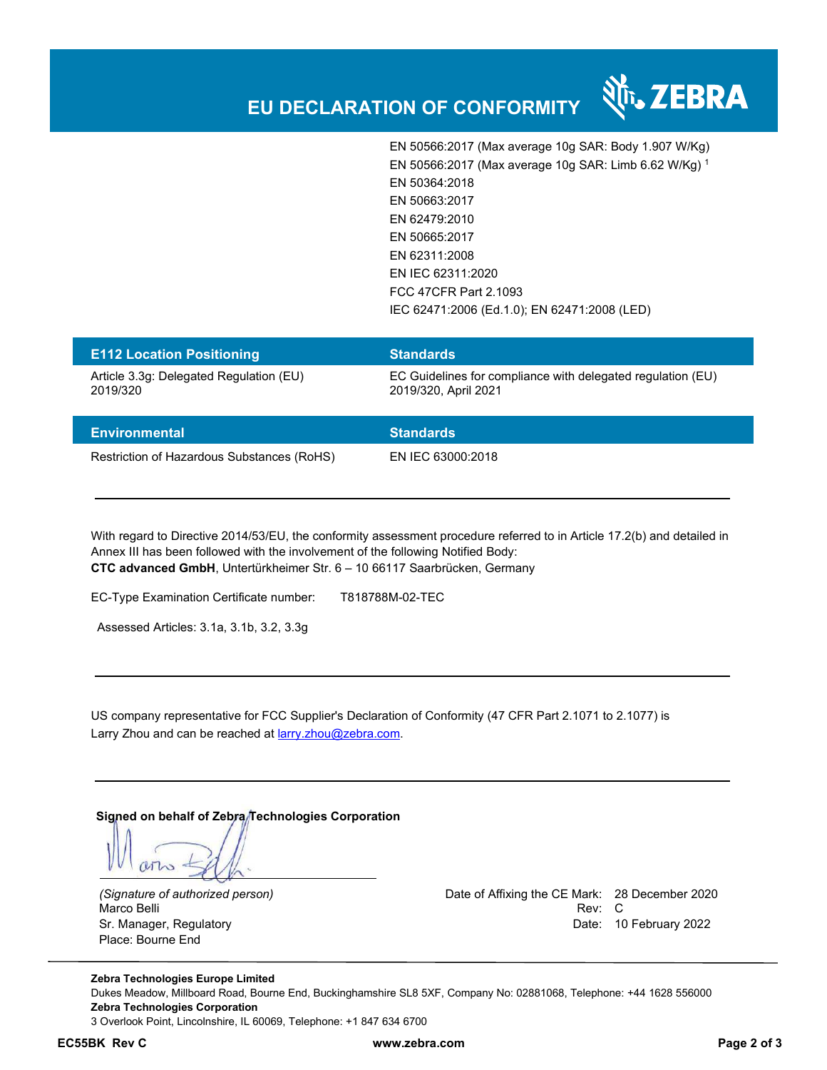

### **EU DECLARATION OF CONFORMITY**

EN 50566:2017 (Max average 10g SAR: Body 1.907 W/Kg) EN 50566:2017 (Max average 10g SAR: Limb 6.62 W/Kg) <sup>1</sup> EN 50364:2018 EN 50663:2017 EN 62479:2010 EN 50665:2017 EN 62311:2008 EN IEC 62311:2020 FCC 47CFR Part 2.1093 IEC 62471:2006 (Ed.1.0); EN 62471:2008 (LED)

| <b>E112 Location Positioning</b>                    | <b>Standards</b>                                                                    |
|-----------------------------------------------------|-------------------------------------------------------------------------------------|
| Article 3.3q: Delegated Regulation (EU)<br>2019/320 | EC Guidelines for compliance with delegated regulation (EU)<br>2019/320, April 2021 |
| <b>Environmental</b>                                | <b>Standards</b>                                                                    |

Restriction of Hazardous Substances (RoHS) EN IEC 63000:2018

With regard to Directive 2014/53/EU, the conformity assessment procedure referred to in Article 17.2(b) and detailed in Annex III has been followed with the involvement of the following Notified Body: **CTC advanced GmbH**, Untertürkheimer Str. 6 – 10 66117 Saarbrücken, Germany

EC-Type Examination Certificate number: T818788M-02-TEC

Assessed Articles: 3.1a, 3.1b, 3.2, 3.3g

US company representative for FCC Supplier's Declaration of Conformity (47 CFR Part 2.1071 to 2.1077) is Larry Zhou and can be reached at **larry.zhou@zebra.com.** 

Signed on behalf of Zebra/Technologies Corporation

Place: Bourne End

*(Signature of authorized person)* Date of Affixing the CE Mark: 28 December 2020 Marco Belli Rev: Compared to the control of the control of the control of the control of the control of the control of the control of the control of the control of the control of the control of the control of the control o Sr. Manager, Regulatory **Date: 10 February 2022** 

**Zebra Technologies Europe Limited**  Dukes Meadow, Millboard Road, Bourne End, Buckinghamshire SL8 5XF, Company No: 02881068, Telephone: +44 1628 556000 **Zebra Technologies Corporation**  3 Overlook Point, Lincolnshire, IL 60069, Telephone: +1 847 634 6700